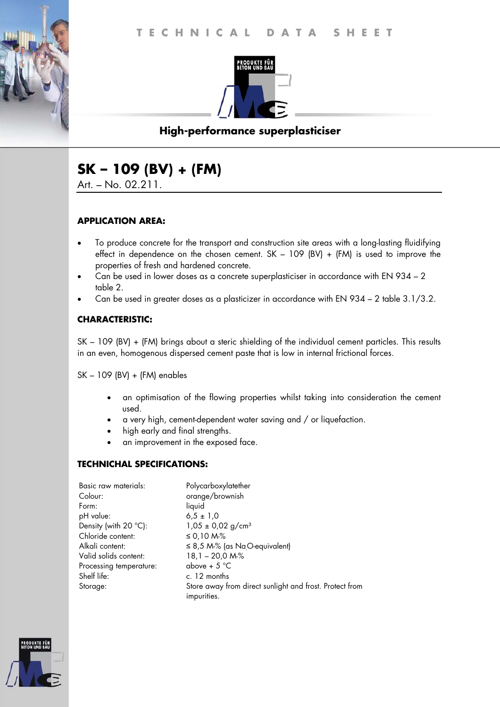

# **High-performance superplasticiser**

# **SK – 109 (BV) + (FM)**

Art. – No. 02.211.

#### **APPLICATION AREA:**

- To produce concrete for the transport and construction site areas with a long-lasting fluidifying effect in dependence on the chosen cement. SK – 109 (BV) + (FM) is used to improve the properties of fresh and hardened concrete.
- Can be used in lower doses as a concrete superplasticiser in accordance with EN 934 2 table 2.
- Can be used in greater doses as a plasticizer in accordance with EN 934 2 table 3.1/3.2.

#### **CHARACTERISTIC:**

SK – 109 (BV) + (FM) brings about a steric shielding of the individual cement particles. This results in an even, homogenous dispersed cement paste that is low in internal frictional forces.

SK – 109 (BV) + (FM) enables

- an optimisation of the flowing properties whilst taking into consideration the cement used.
- a very high, cement-dependent water saving and / or liquefaction.
- high early and final strengths.
- an improvement in the exposed face.

#### **TECHNICHAL SPECIFICATIONS:**

| Basic raw materials:            | Polycarboxylatether                                     |
|---------------------------------|---------------------------------------------------------|
| Colour:                         | orange/brownish                                         |
| Form:                           | liquid                                                  |
| pH value:                       | $6.5 \pm 1.0$                                           |
| Density (with 20 $^{\circ}$ C): | $1,05 \pm 0,02$ g/cm <sup>3</sup>                       |
| Chloride content:               | ≤ 0,10 M-%                                              |
| Alkali content:                 | $\leq$ 8,5 M-% (as Na <sub>.</sub> O-equivalent)        |
| Valid solids content:           | $18,1 - 20,0 M\%$                                       |
| Processing temperature:         | above + $5^{\circ}$ C                                   |
| Shelf life:                     | c. 12 months                                            |
| Storage:                        | Store away from direct sunlight and frost. Protect from |
|                                 | impurities.                                             |